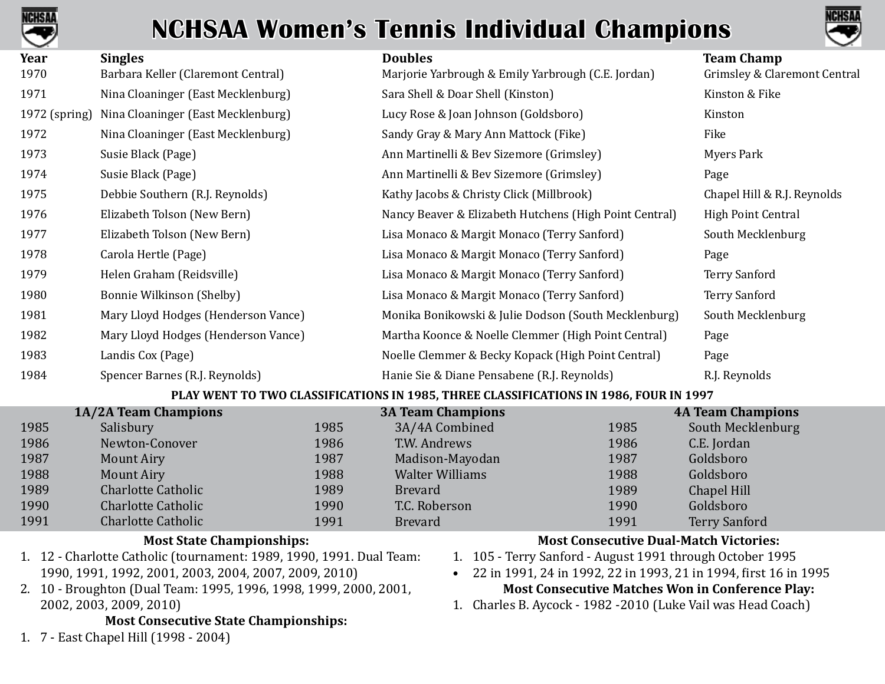



| Year          | <b>Singles</b>                      | <b>Doubles</b>                                         | <b>Team Champ</b>            |
|---------------|-------------------------------------|--------------------------------------------------------|------------------------------|
| 1970          | Barbara Keller (Claremont Central)  | Marjorie Yarbrough & Emily Yarbrough (C.E. Jordan)     | Grimsley & Claremont Central |
| 1971          | Nina Cloaninger (East Mecklenburg)  | Sara Shell & Doar Shell (Kinston)                      | Kinston & Fike               |
| 1972 (spring) | Nina Cloaninger (East Mecklenburg)  | Lucy Rose & Joan Johnson (Goldsboro)                   | Kinston                      |
| 1972          | Nina Cloaninger (East Mecklenburg)  | Sandy Gray & Mary Ann Mattock (Fike)                   | Fike                         |
| 1973          | Susie Black (Page)                  | Ann Martinelli & Bev Sizemore (Grimsley)               | Myers Park                   |
| 1974          | Susie Black (Page)                  | Ann Martinelli & Bev Sizemore (Grimsley)               | Page                         |
| 1975          | Debbie Southern (R.J. Reynolds)     | Kathy Jacobs & Christy Click (Millbrook)               | Chapel Hill & R.J. Reynolds  |
| 1976          | Elizabeth Tolson (New Bern)         | Nancy Beaver & Elizabeth Hutchens (High Point Central) | High Point Central           |
| 1977          | Elizabeth Tolson (New Bern)         | Lisa Monaco & Margit Monaco (Terry Sanford)            | South Mecklenburg            |
| 1978          | Carola Hertle (Page)                | Lisa Monaco & Margit Monaco (Terry Sanford)            | Page                         |
| 1979          | Helen Graham (Reidsville)           | Lisa Monaco & Margit Monaco (Terry Sanford)            | <b>Terry Sanford</b>         |
| 1980          | Bonnie Wilkinson (Shelby)           | Lisa Monaco & Margit Monaco (Terry Sanford)            | <b>Terry Sanford</b>         |
| 1981          | Mary Lloyd Hodges (Henderson Vance) | Monika Bonikowski & Julie Dodson (South Mecklenburg)   | South Mecklenburg            |
| 1982          | Mary Lloyd Hodges (Henderson Vance) | Martha Koonce & Noelle Clemmer (High Point Central)    | Page                         |
| 1983          | Landis Cox (Page)                   | Noelle Clemmer & Becky Kopack (High Point Central)     | Page                         |
| 1984          | Spencer Barnes (R.J. Reynolds)      | Hanie Sie & Diane Pensabene (R.J. Reynolds)            | R.J. Reynolds                |
|               |                                     |                                                        |                              |

#### **PLAY WENT TO TWO CLASSIFICATIONS IN 1985, THREE CLASSIFICATIONS IN 1986, FOUR IN 1997**

|      | 1A/2A Team Champions      |      | <b>3A Team Champions</b> |      | <b>4A Team Champions</b> |
|------|---------------------------|------|--------------------------|------|--------------------------|
| 1985 | Salisbury                 | 1985 | 3A/4A Combined           | 1985 | South Mecklenburg        |
| 1986 | Newton-Conover            | 1986 | T.W. Andrews             | 1986 | C.E. Jordan              |
| 1987 | <b>Mount Airy</b>         | 1987 | Madison-Mayodan          | 1987 | Goldsboro                |
| 1988 | <b>Mount Airy</b>         | 1988 | <b>Walter Williams</b>   | 1988 | Goldsboro                |
| 1989 | <b>Charlotte Catholic</b> | 1989 | <b>Brevard</b>           | 1989 | Chapel Hill              |
| 1990 | <b>Charlotte Catholic</b> | 1990 | T.C. Roberson            | 1990 | Goldsboro                |
| 1991 | <b>Charlotte Catholic</b> | 1991 | <b>Brevard</b>           | 1991 | <b>Terry Sanford</b>     |

#### **Most State Championships:**

- 1. 12 Charlotte Catholic (tournament: 1989, 1990, 1991. Dual Team: 1990, 1991, 1992, 2001, 2003, 2004, 2007, 2009, 2010)
- 2. 10 Broughton (Dual Team: 1995, 1996, 1998, 1999, 2000, 2001, 2002, 2003, 2009, 2010)

#### **Most Consecutive State Championships:**

1. 7 - East Chapel Hill (1998 - 2004)

### **Most Consecutive Dual-Match Victories:**

- 1. 105 Terry Sanford August 1991 through October 1995
- 22 in 1991, 24 in 1992, 22 in 1993, 21 in 1994, first 16 in 1995 **Most Consecutive Matches Won in Conference Play:**
- 1. Charles B. Aycock 1982 -2010 (Luke Vail was Head Coach)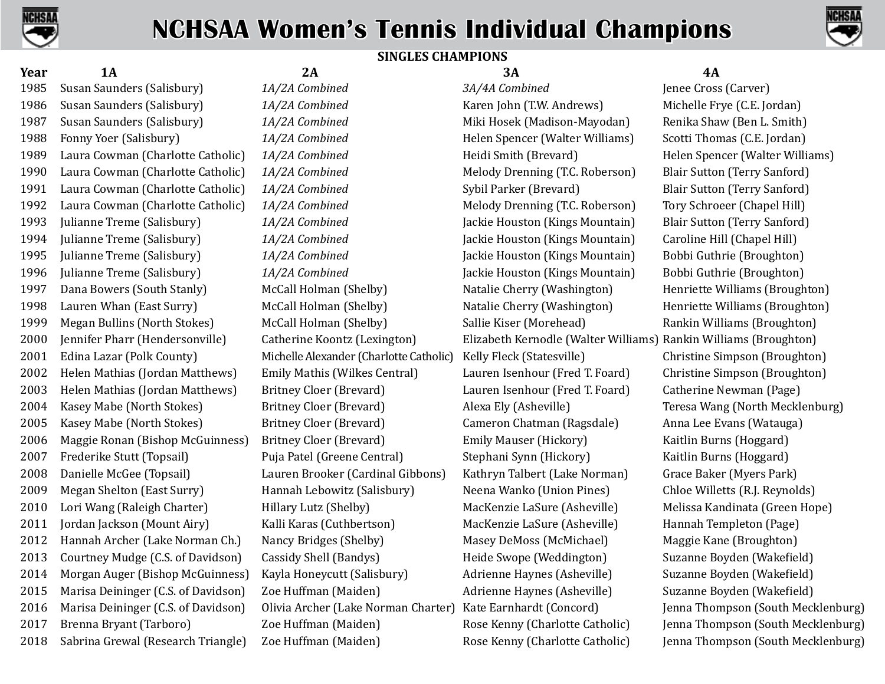



### **SINGLES CHAMPIONS**

**Year 1A 2A 3A 4A** Susan Saunders (Salisbury) *1A/2A Combined 3A/4A Combined* Jenee Cross (Carver) Susan Saunders (Salisbury) *1A/2A Combined* Karen John (T.W. Andrews) Michelle Frye (C.E. Jordan) Susan Saunders (Salisbury) *1A/2A Combined* Miki Hosek (Madison-Mayodan) Renika Shaw (Ben L. Smith) Fonny Yoer (Salisbury) *1A/2A Combined* Helen Spencer (Walter Williams) Scotti Thomas (C.E. Jordan) Laura Cowman (Charlotte Catholic) *1A/2A Combined* Heidi Smith (Brevard) Helen Spencer (Walter Williams) Laura Cowman (Charlotte Catholic) *1A/2A Combined* Melody Drenning (T.C. Roberson) Blair Sutton (Terry Sanford) Laura Cowman (Charlotte Catholic) *1A/2A Combined* Sybil Parker (Brevard) Blair Sutton (Terry Sanford) Laura Cowman (Charlotte Catholic) *1A/2A Combined* Melody Drenning (T.C. Roberson) Tory Schroeer (Chapel Hill) Julianne Treme (Salisbury) *1A/2A Combined* Jackie Houston (Kings Mountain) Blair Sutton (Terry Sanford) Julianne Treme (Salisbury) *1A/2A Combined* Jackie Houston (Kings Mountain) Caroline Hill (Chapel Hill) Julianne Treme (Salisbury) *1A/2A Combined* Jackie Houston (Kings Mountain) Bobbi Guthrie (Broughton) Julianne Treme (Salisbury) *1A/2A Combined* Jackie Houston (Kings Mountain) Bobbi Guthrie (Broughton) Dana Bowers (South Stanly) McCall Holman (Shelby) Natalie Cherry (Washington) Henriette Williams (Broughton) Lauren Whan (East Surry) McCall Holman (Shelby) Natalie Cherry (Washington) Henriette Williams (Broughton) Megan Bullins (North Stokes) McCall Holman (Shelby) Sallie Kiser (Morehead) Rankin Williams (Broughton) Jennifer Pharr (Hendersonville) Catherine Koontz (Lexington) Elizabeth Kernodle (Walter Williams) Rankin Williams (Broughton) Edina Lazar (Polk County) Michelle Alexander (Charlotte Catholic) Kelly Fleck (Statesville) Christine Simpson (Broughton) Helen Mathias (Jordan Matthews) Emily Mathis (Wilkes Central) Lauren Isenhour (Fred T. Foard) Christine Simpson (Broughton) Helen Mathias (Jordan Matthews) Britney Cloer (Brevard) Lauren Isenhour (Fred T. Foard) Catherine Newman (Page) Kasey Mabe (North Stokes) Britney Cloer (Brevard) Alexa Ely (Asheville) Teresa Wang (North Mecklenburg) Kasey Mabe (North Stokes) Britney Cloer (Brevard) Cameron Chatman (Ragsdale) Anna Lee Evans (Watauga) Maggie Ronan (Bishop McGuinness) Britney Cloer (Brevard) Emily Mauser (Hickory) Kaitlin Burns (Hoggard) Frederike Stutt (Topsail) Puja Patel (Greene Central) Stephani Synn (Hickory) Kaitlin Burns (Hoggard) Danielle McGee (Topsail) Lauren Brooker (Cardinal Gibbons) Kathryn Talbert (Lake Norman) Grace Baker (Myers Park) Megan Shelton (East Surry) Hannah Lebowitz (Salisbury) Neena Wanko (Union Pines) Chloe Willetts (R.J. Reynolds) Lori Wang (Raleigh Charter) Hillary Lutz (Shelby) MacKenzie LaSure (Asheville) Melissa Kandinata (Green Hope) Jordan Jackson (Mount Airy) Kalli Karas (Cuthbertson) MacKenzie LaSure (Asheville) Hannah Templeton (Page) 2012 Hannah Archer (Lake Norman Ch.) Nancy Bridges (Shelby) Masey DeMoss (McMichael) Maggie Kane (Broughton)<br>2013 Courtney Mudge (C.S. of Davidson) Cassidy Shell (Bandys) Heide Swope (Weddington) Suzanne Boyden (Wakefie Courtney Mudge (C.S. of Davidson) Cassidy Shell (Bandys) Heide Swope (Weddington) Suzanne Boyden (Wakefield) Morgan Auger (Bishop McGuinness) Kayla Honeycutt (Salisbury) Adrienne Haynes (Asheville) Suzanne Boyden (Wakefield) Marisa Deininger (C.S. of Davidson) Zoe Huffman (Maiden) Adrienne Haynes (Asheville) Suzanne Boyden (Wakefield) 2016 Marisa Deininger (C.S. of Davidson) Olivia Archer (Lake Norman Charter) Kate Earnhardt (Concord) Jenna Thompson (South Mecklenburg) Brenna Bryant (Tarboro) Zoe Huffman (Maiden) Rose Kenny (Charlotte Catholic) Jenna Thompson (South Mecklenburg) Sabrina Grewal (Research Triangle) Zoe Huffman (Maiden) Rose Kenny (Charlotte Catholic) Jenna Thompson (South Mecklenburg)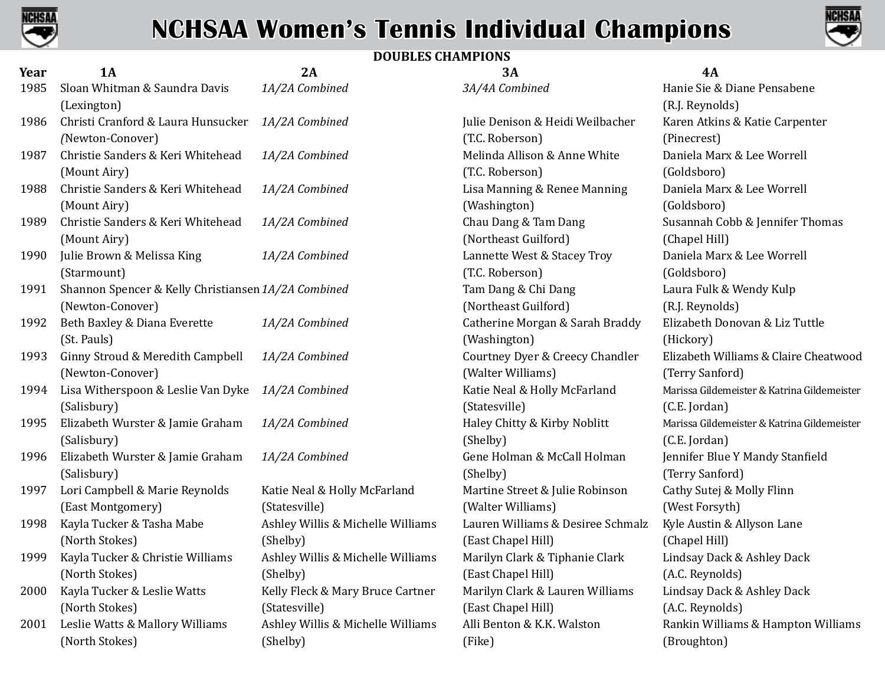



### **DOUBLES CHAMPIONS**

| Year | 1A                                                  | 2A                                | 3A                                | <b>4A</b>         |
|------|-----------------------------------------------------|-----------------------------------|-----------------------------------|-------------------|
| 1985 | Sloan Whitman & Saundra Davis                       | 1A/2A Combined                    | 3A/4A Combined                    | Hanie Sie & Dia   |
|      | (Lexington)                                         |                                   |                                   | (R.J. Reynolds)   |
| 1986 | Christi Cranford & Laura Hunsucker                  | 1A/2A Combined                    | Julie Denison & Heidi Weilbacher  | Karen Atkins &    |
|      | (Newton-Conover)                                    |                                   | (T.C. Roberson)                   | (Pinecrest)       |
| 1987 | Christie Sanders & Keri Whitehead                   | 1A/2A Combined                    | Melinda Allison & Anne White      | Daniela Marx &    |
|      | (Mount Airy)                                        |                                   | (T.C. Roberson)                   | (Goldsboro)       |
| 1988 | Christie Sanders & Keri Whitehead                   | 1A/2A Combined                    | Lisa Manning & Renee Manning      | Daniela Marx &    |
|      | (Mount Airy)                                        |                                   | (Washington)                      | (Goldsboro)       |
| 1989 | Christie Sanders & Keri Whitehead                   | 1A/2A Combined                    | Chau Dang & Tam Dang              | Susannah Cobb     |
|      | (Mount Airy)                                        |                                   | (Northeast Guilford)              | (Chapel Hill)     |
| 1990 | Julie Brown & Melissa King                          | 1A/2A Combined                    | Lannette West & Stacey Troy       | Daniela Marx &    |
|      | (Starmount)                                         |                                   | (T.C. Roberson)                   | (Goldsboro)       |
| 1991 | Shannon Spencer & Kelly Christiansen 1A/2A Combined |                                   | Tam Dang & Chi Dang               | Laura Fulk & W    |
|      | (Newton-Conover)                                    |                                   | (Northeast Guilford)              | (R.J. Reynolds)   |
| 1992 | Beth Baxley & Diana Everette                        | 1A/2A Combined                    | Catherine Morgan & Sarah Braddy   | Elizabeth Dono    |
|      | (St. Pauls)                                         |                                   | (Washington)                      | (Hickory)         |
| 1993 | Ginny Stroud & Meredith Campbell                    | 1A/2A Combined                    | Courtney Dyer & Creecy Chandler   | Elizabeth Willia  |
|      | (Newton-Conover)                                    |                                   | (Walter Williams)                 | (Terry Sanford)   |
| 1994 | Lisa Witherspoon & Leslie Van Dyke                  | 1A/2A Combined                    | Katie Neal & Holly McFarland      | Marissa Gildemeis |
|      | (Salisbury)                                         |                                   | (Statesville)                     | (C.E. Jordan)     |
| 1995 | Elizabeth Wurster & Jamie Graham                    | 1A/2A Combined                    | Haley Chitty & Kirby Noblitt      | Marissa Gildemeis |
|      | (Salisbury)                                         |                                   | (Shelby)                          | (C.E. Jordan)     |
| 1996 | Elizabeth Wurster & Jamie Graham                    | 1A/2A Combined                    | Gene Holman & McCall Holman       | Jennifer Blue Y   |
|      | (Salisbury)                                         |                                   | (Shelby)                          | (Terry Sanford)   |
| 1997 | Lori Campbell & Marie Reynolds                      | Katie Neal & Holly McFarland      | Martine Street & Julie Robinson   | Cathy Sutej & M   |
|      | (East Montgomery)                                   | (Statesville)                     | (Walter Williams)                 | (West Forsyth)    |
| 1998 | Kayla Tucker & Tasha Mabe                           | Ashley Willis & Michelle Williams | Lauren Williams & Desiree Schmalz | Kyle Austin & A   |
|      | (North Stokes)                                      | (Shelby)                          | (East Chapel Hill)                | (Chapel Hill)     |
| 1999 | Kayla Tucker & Christie Williams                    | Ashley Willis & Michelle Williams | Marilyn Clark & Tiphanie Clark    | Lindsay Dack &    |
|      | (North Stokes)                                      | (Shelby)                          | (East Chapel Hill)                | (A.C. Reynolds)   |
| 2000 | Kayla Tucker & Leslie Watts                         | Kelly Fleck & Mary Bruce Cartner  | Marilyn Clark & Lauren Williams   | Lindsay Dack &    |
|      | (North Stokes)                                      | (Statesville)                     | (East Chapel Hill)                | (A.C. Reynolds)   |
| 2001 | Leslie Watts & Mallory Williams                     | Ashley Willis & Michelle Williams | Alli Benton & K.K. Walston        | Rankin William    |
|      | (North Stokes)                                      | (Shelby)                          | (Fike)                            | (Broughton)       |

1986 Christi Cranford & Laura Hunsucker *1A/2A Combined* Julie Denison & Heidi Weilbacher Karen Atkins & Katie Carpenter 1987 Melinda Allison & Anne White **1988** Daniela Marx & Lee Worrell 1988 Christie Sanders & Keri Whitehead *1A/2A Combined* Lisa Manning & Renee Manning Daniela Marx & Lee Worrell 1989 Chau Dang & Tam Dang **1989 Chau Dang & Tam Dang 1888** Susannah Cobb & Jennifer Thomas 1990 Julie Brown & Melissa King *1A/2A Combined* Lannette West & Stacey Troy Daniela Marx & Lee Worrell 1991 Tam Dang & Chi Dang **Christiansen Spencer Bannon Christian** Laura Fulk & Wendy Kulp 1992 Beth Baxley & Diana Everette *1A/2A Combined* Catherine Morgan & Sarah Braddy Elizabeth Donovan & Liz Tuttle 1996 Elizabeth Wurster & Jamie Graham *1A/2A Combined* Gene Holman & McCall Holman Jennifer Blue Y Mandy Stanfield rland Martine Street & Julie Robinson Cathy Sutej & Molly Flinn Williams Lauren Williams & Desiree Schmalz Kyle Austin & Allyson Lane Williams Marilyn Clark & Tiphanie Clark Lindsay Dack & Ashley Dack e Cartner Marilyn Clark & Lauren Williams Lindsay Dack & Ashley Dack

 Sloan Whitman & Saundra Davis *1A/2A Combined 3A/4A Combined* Hanie Sie & Diane Pensabene Ginny Stroud & Meredith Campbell *1A/2A Combined* Courtney Dyer & Creecy Chandler Elizabeth Williams & Claire Cheatwood Lisa Witherspoon & Leslie Van Dyke *1A/2A Combined* Katie Neal & Holly McFarland Marissa Gildemeister & Katrina Gildemeister Elizabeth Wurster & Jamie Graham *1A/2A Combined* Haley Chitty & Kirby Noblitt Marissa Gildemeister & Katrina Gildemeister Williams Alli Benton & K.K. Walston Rankin Williams & Hampton Williams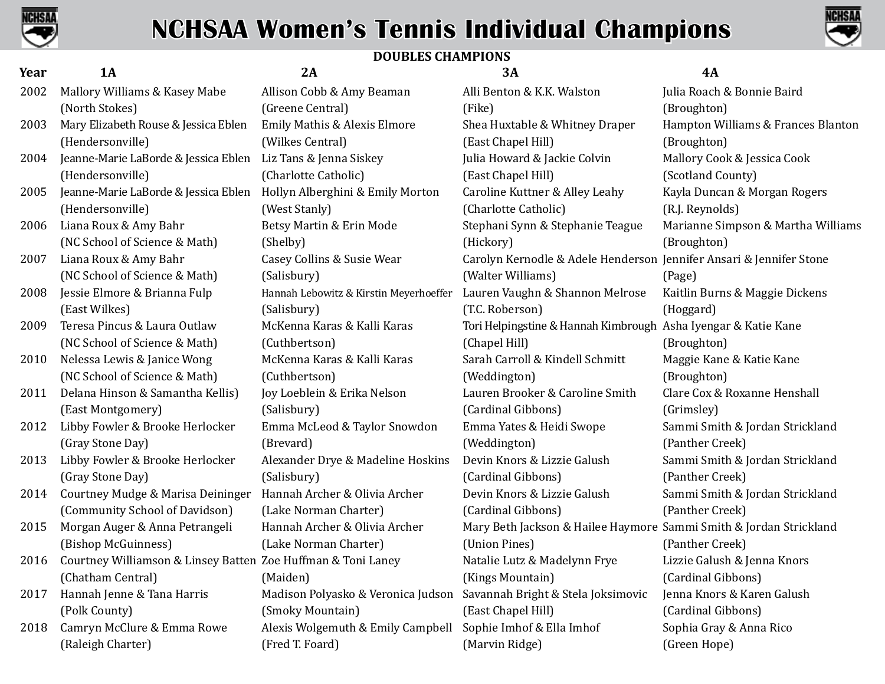



### **DOUBLES CHAMPIONS**

| Year | <b>1A</b>                                                    | 2A                                     | 3A                                                                  | <b>4A</b>                          |
|------|--------------------------------------------------------------|----------------------------------------|---------------------------------------------------------------------|------------------------------------|
| 2002 | Mallory Williams & Kasey Mabe                                | Allison Cobb & Amy Beaman              | Alli Benton & K.K. Walston                                          | Julia Roach & Bonnie Baird         |
|      | (North Stokes)                                               | (Greene Central)                       | (Fike)                                                              | (Broughton)                        |
| 2003 | Mary Elizabeth Rouse & Jessica Eblen                         | Emily Mathis & Alexis Elmore           | Shea Huxtable & Whitney Draper                                      | Hampton Williams & Frances Blanton |
|      | (Hendersonville)                                             | (Wilkes Central)                       | (East Chapel Hill)                                                  | (Broughton)                        |
| 2004 | Jeanne-Marie LaBorde & Jessica Eblen                         | Liz Tans & Jenna Siskey                | Julia Howard & Jackie Colvin                                        | Mallory Cook & Jessica Cook        |
|      | (Hendersonville)                                             | (Charlotte Catholic)                   | (East Chapel Hill)                                                  | (Scotland County)                  |
| 2005 | Jeanne-Marie LaBorde & Jessica Eblen                         | Hollyn Alberghini & Emily Morton       | Caroline Kuttner & Alley Leahy                                      | Kayla Duncan & Morgan Rogers       |
|      | (Hendersonville)                                             | (West Stanly)                          | (Charlotte Catholic)                                                | (R.J. Reynolds)                    |
| 2006 | Liana Roux & Amy Bahr                                        | Betsy Martin & Erin Mode               | Stephani Synn & Stephanie Teague                                    | Marianne Simpson & Martha Williams |
|      | (NC School of Science & Math)                                | (Shelby)                               | (Hickory)                                                           | (Broughton)                        |
| 2007 | Liana Roux & Amy Bahr                                        | Casey Collins & Susie Wear             | Carolyn Kernodle & Adele Henderson Jennifer Ansari & Jennifer Stone |                                    |
|      | (NC School of Science & Math)                                | (Salisbury)                            | (Walter Williams)                                                   | (Page)                             |
| 2008 | Jessie Elmore & Brianna Fulp                                 | Hannah Lebowitz & Kirstin Meyerhoeffer | Lauren Vaughn & Shannon Melrose                                     | Kaitlin Burns & Maggie Dickens     |
|      | (East Wilkes)                                                | (Salisbury)                            | (T.C. Roberson)                                                     | (Hoggard)                          |
| 2009 | Teresa Pincus & Laura Outlaw                                 | McKenna Karas & Kalli Karas            | Tori Helpingstine & Hannah Kimbrough Asha Iyengar & Katie Kane      |                                    |
|      | (NC School of Science & Math)                                | (Cuthbertson)                          | (Chapel Hill)                                                       | (Broughton)                        |
| 2010 | Nelessa Lewis & Janice Wong                                  | McKenna Karas & Kalli Karas            | Sarah Carroll & Kindell Schmitt                                     | Maggie Kane & Katie Kane           |
|      | (NC School of Science & Math)                                | (Cuthbertson)                          | (Weddington)                                                        | (Broughton)                        |
| 2011 | Delana Hinson & Samantha Kellis)                             | Joy Loeblein & Erika Nelson            | Lauren Brooker & Caroline Smith                                     | Clare Cox & Roxanne Henshall       |
|      | (East Montgomery)                                            | (Salisbury)                            | (Cardinal Gibbons)                                                  | (Grimsley)                         |
| 2012 | Libby Fowler & Brooke Herlocker                              | Emma McLeod & Taylor Snowdon           | Emma Yates & Heidi Swope                                            | Sammi Smith & Jordan Strickland    |
|      | (Gray Stone Day)                                             | (Brevard)                              | (Weddington)                                                        | (Panther Creek)                    |
| 2013 | Libby Fowler & Brooke Herlocker                              | Alexander Drye & Madeline Hoskins      | Devin Knors & Lizzie Galush                                         | Sammi Smith & Jordan Strickland    |
|      | (Gray Stone Day)                                             | (Salisbury)                            | (Cardinal Gibbons)                                                  | (Panther Creek)                    |
| 2014 | Courtney Mudge & Marisa Deininger                            | Hannah Archer & Olivia Archer          | Devin Knors & Lizzie Galush                                         | Sammi Smith & Jordan Strickland    |
|      | (Community School of Davidson)                               | (Lake Norman Charter)                  | (Cardinal Gibbons)                                                  | (Panther Creek)                    |
| 2015 | Morgan Auger & Anna Petrangeli                               | Hannah Archer & Olivia Archer          | Mary Beth Jackson & Hailee Haymore Sammi Smith & Jordan Strickland  |                                    |
|      | (Bishop McGuinness)                                          | (Lake Norman Charter)                  | (Union Pines)                                                       | (Panther Creek)                    |
| 2016 | Courtney Williamson & Linsey Batten Zoe Huffman & Toni Laney |                                        | Natalie Lutz & Madelynn Frye                                        | Lizzie Galush & Jenna Knors        |
|      | (Chatham Central)                                            | (Maiden)                               | (Kings Mountain)                                                    | (Cardinal Gibbons)                 |
| 2017 | Hannah Jenne & Tana Harris                                   | Madison Polyasko & Veronica Judson     | Savannah Bright & Stela Joksimovic                                  | Jenna Knors & Karen Galush         |
|      | (Polk County)                                                | (Smoky Mountain)                       | (East Chapel Hill)                                                  | (Cardinal Gibbons)                 |
| 2018 | Camryn McClure & Emma Rowe                                   | Alexis Wolgemuth & Emily Campbell      | Sophie Imhof & Ella Imhof                                           | Sophia Gray & Anna Rico            |
|      | (Raleigh Charter)                                            | (Fred T. Foard)                        | (Marvin Ridge)                                                      | (Green Hope)                       |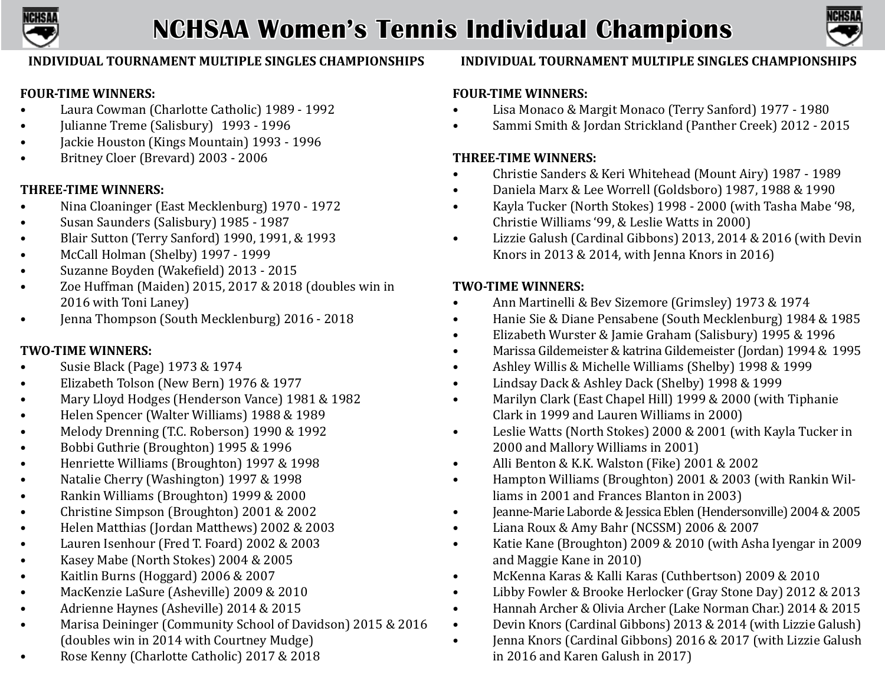



### **INDIVIDUAL TOURNAMENT MULTIPLE SINGLES CHAMPIONSHIPS**

### **FOUR-TIME WINNERS:**

- **•** Laura Cowman (Charlotte Catholic) 1989 1992
- **Julianne Treme (Salisbury)** 1993 1996
- Jackie Houston (Kings Mountain) 1993 1996
- Britney Cloer (Brevard) 2003 2006

### **THREE-TIME WINNERS:**

- Nina Cloaninger (East Mecklenburg) 1970 1972
- Susan Saunders (Salisbury) 1985 1987
- Blair Sutton (Terry Sanford) 1990, 1991, & 1993
- McCall Holman (Shelby) 1997 1999
- Suzanne Boyden (Wakefield) 2013 2015
- Zoe Huffman (Maiden) 2015, 2017 & 2018 (doubles win in 2016 with Toni Laney)
- **Jenna Thompson (South Mecklenburg) 2016 2018**

## **TWO-TIME WINNERS:**

- Susie Black (Page) 1973 & 1974
- Elizabeth Tolson (New Bern) 1976 & 1977
- Mary Lloyd Hodges (Henderson Vance) 1981 & 1982
- Helen Spencer (Walter Williams) 1988 & 1989
- Melody Drenning (T.C. Roberson) 1990 & 1992
- **•** Bobbi Guthrie (Broughton) 1995 & 1996
- Henriette Williams (Broughton) 1997 & 1998
- Natalie Cherry (Washington) 1997 & 1998
- Rankin Williams (Broughton) 1999 & 2000
- Christine Simpson (Broughton) 2001 & 2002<br>• Helen Matthias (Jordan Matthews) 2002 & 20
- Helen Matthias (Jordan Matthews) 2002 & 2003
- Lauren Isenhour (Fred T. Foard) 2002 & 2003
- Kasey Mabe (North Stokes) 2004 & 2005
- Kaitlin Burns (Hoggard) 2006 & 2007
- MacKenzie LaSure (Asheville) 2009 & 2010
- Adrienne Haynes (Asheville) 2014 & 2015
- Marisa Deininger (Community School of Davidson) 2015 & 2016 (doubles win in 2014 with Courtney Mudge)
- Rose Kenny (Charlotte Catholic) 2017 & 2018

## **INDIVIDUAL TOURNAMENT MULTIPLE SINGLES CHAMPIONSHIPS**

### **FOUR-TIME WINNERS:**

- **•** Lisa Monaco & Margit Monaco (Terry Sanford) 1977 1980
- Sammi Smith & Jordan Strickland (Panther Creek) 2012 2015

### **THREE-TIME WINNERS:**

- Christie Sanders & Keri Whitehead (Mount Airy) 1987 1989
- Daniela Marx & Lee Worrell (Goldsboro) 1987, 1988 & 1990
- Kayla Tucker (North Stokes) 1998 2000 (with Tasha Mabe '98, Christie Williams '99, & Leslie Watts in 2000)
- Lizzie Galush (Cardinal Gibbons) 2013, 2014 & 2016 (with Devin Knors in 2013 & 2014, with Jenna Knors in 2016)

## **TWO-TIME WINNERS:**

- Ann Martinelli & Bev Sizemore (Grimsley) 1973 & 1974
- Hanie Sie & Diane Pensabene (South Mecklenburg) 1984 & 1985
- Elizabeth Wurster & Jamie Graham (Salisbury) 1995 & 1996
- Marissa Gildemeister & katrina Gildemeister (Jordan) 1994 & 1995
- Ashley Willis & Michelle Williams (Shelby) 1998 & 1999
- Lindsay Dack & Ashley Dack (Shelby) 1998 & 1999
- Marilyn Clark (East Chapel Hill) 1999 & 2000 (with Tiphanie Clark in 1999 and Lauren Williams in 2000)
- Leslie Watts (North Stokes) 2000 & 2001 (with Kayla Tucker in 2000 and Mallory Williams in 2001)
- Alli Benton & K.K. Walston (Fike) 2001 & 2002
- Hampton Williams (Broughton) 2001 & 2003 (with Rankin Williams in 2001 and Frances Blanton in 2003)
- Jeanne-Marie Laborde & Jessica Eblen (Hendersonville) 2004 & 2005
- Liana Roux & Amy Bahr (NCSSM) 2006 & 2007
- Katie Kane (Broughton) 2009 & 2010 (with Asha Iyengar in 2009 and Maggie Kane in 2010)
- McKenna Karas & Kalli Karas (Cuthbertson) 2009 & 2010
- Libby Fowler & Brooke Herlocker (Gray Stone Day) 2012 & 2013
- Hannah Archer & Olivia Archer (Lake Norman Char.) 2014 & 2015
- Devin Knors (Cardinal Gibbons) 2013 & 2014 (with Lizzie Galush)
- Jenna Knors (Cardinal Gibbons) 2016 & 2017 (with Lizzie Galush in 2016 and Karen Galush in 2017)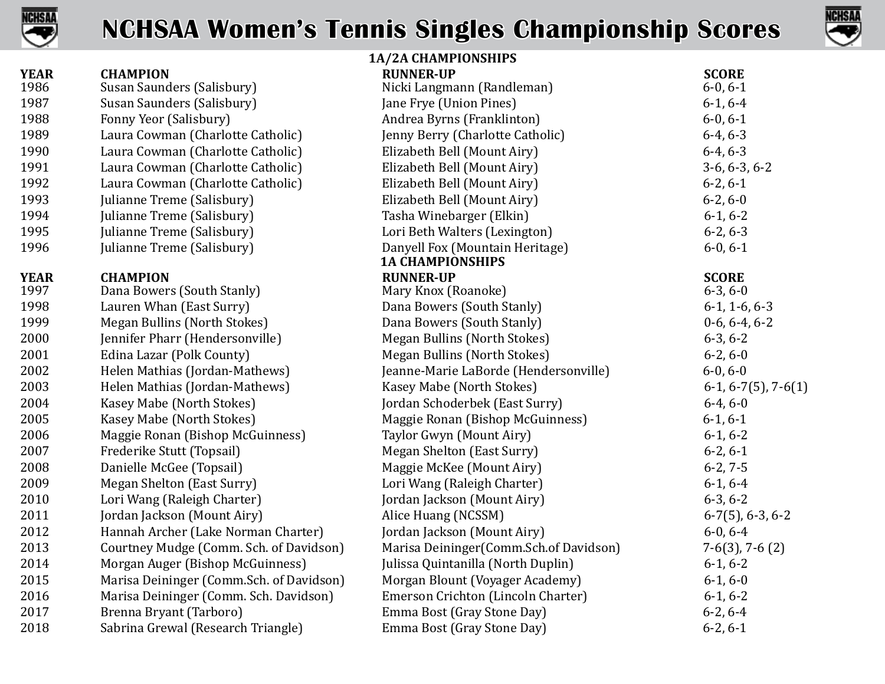



| 1A/2A CHAMPIONSHIPS |                                          |                                           |                           |
|---------------------|------------------------------------------|-------------------------------------------|---------------------------|
| <b>YEAR</b>         | <b>CHAMPION</b>                          | <b>RUNNER-UP</b>                          | <b>SCORE</b>              |
| 1986                | Susan Saunders (Salisbury)               | Nicki Langmann (Randleman)                | $6-0, 6-1$                |
| 1987                | Susan Saunders (Salisbury)               | Jane Frye (Union Pines)                   | $6-1, 6-4$                |
| 1988                | Fonny Yeor (Salisbury)                   | Andrea Byrns (Franklinton)                | $6-0, 6-1$                |
| 1989                | Laura Cowman (Charlotte Catholic)        | Jenny Berry (Charlotte Catholic)          | $6-4, 6-3$                |
| 1990                | Laura Cowman (Charlotte Catholic)        | Elizabeth Bell (Mount Airy)               | $6-4, 6-3$                |
| 1991                | Laura Cowman (Charlotte Catholic)        | Elizabeth Bell (Mount Airy)               | $3-6, 6-3, 6-2$           |
| 1992                | Laura Cowman (Charlotte Catholic)        | Elizabeth Bell (Mount Airy)               | $6-2, 6-1$                |
| 1993                | Julianne Treme (Salisbury)               | Elizabeth Bell (Mount Airy)               | $6-2, 6-0$                |
| 1994                | Julianne Treme (Salisbury)               | Tasha Winebarger (Elkin)                  | $6-1, 6-2$                |
| 1995                | Julianne Treme (Salisbury)               | Lori Beth Walters (Lexington)             | $6-2, 6-3$                |
| 1996                | Julianne Treme (Salisbury)               | Danyell Fox (Mountain Heritage)           | $6-0, 6-1$                |
|                     |                                          | <b>1A CHAMPIONSHIPS</b>                   |                           |
| <b>YEAR</b>         | <b>CHAMPION</b>                          | <b>RUNNER-UP</b>                          | <b>SCORE</b>              |
| 1997                | Dana Bowers (South Stanly)               | Mary Knox (Roanoke)                       | $6-3, 6-0$                |
| 1998                | Lauren Whan (East Surry)                 | Dana Bowers (South Stanly)                | $6-1$ , 1 $-6$ , 6 $-3$   |
| 1999                | Megan Bullins (North Stokes)             | Dana Bowers (South Stanly)                | $0-6, 6-4, 6-2$           |
| 2000                | Jennifer Pharr (Hendersonville)          | Megan Bullins (North Stokes)              | $6-3, 6-2$                |
| 2001                | Edina Lazar (Polk County)                | Megan Bullins (North Stokes)              | $6-2, 6-0$                |
| 2002                | Helen Mathias (Jordan-Mathews)           | Jeanne-Marie LaBorde (Hendersonville)     | $6-0, 6-0$                |
| 2003                | Helen Mathias (Jordan-Mathews)           | Kasey Mabe (North Stokes)                 | $6-1, 6-7(5)$ , 7 $-6(1)$ |
| 2004                | Kasey Mabe (North Stokes)                | Jordan Schoderbek (East Surry)            | $6-4, 6-0$                |
| 2005                | Kasey Mabe (North Stokes)                | Maggie Ronan (Bishop McGuinness)          | $6-1, 6-1$                |
| 2006                | Maggie Ronan (Bishop McGuinness)         | Taylor Gwyn (Mount Airy)                  | $6-1, 6-2$                |
| 2007                | Frederike Stutt (Topsail)                | Megan Shelton (East Surry)                | $6-2, 6-1$                |
| 2008                | Danielle McGee (Topsail)                 | Maggie McKee (Mount Airy)                 | $6-2, 7-5$                |
| 2009                | Megan Shelton (East Surry)               | Lori Wang (Raleigh Charter)               | $6-1, 6-4$                |
| 2010                | Lori Wang (Raleigh Charter)              | Jordan Jackson (Mount Airy)               | $6-3, 6-2$                |
| 2011                | Jordan Jackson (Mount Airy)              | Alice Huang (NCSSM)                       | $6-7(5)$ , 6-3, 6-2       |
| 2012                | Hannah Archer (Lake Norman Charter)      | Jordan Jackson (Mount Airy)               | $6-0, 6-4$                |
| 2013                | Courtney Mudge (Comm. Sch. of Davidson)  | Marisa Deininger (Comm. Sch. of Davidson) | $7-6(3)$ , $7-6(2)$       |
| 2014                | Morgan Auger (Bishop McGuinness)         | Julissa Quintanilla (North Duplin)        | $6-1, 6-2$                |
| 2015                | Marisa Deininger (Comm.Sch. of Davidson) | Morgan Blount (Voyager Academy)           | $6-1, 6-0$                |
| 2016                | Marisa Deininger (Comm. Sch. Davidson)   | Emerson Crichton (Lincoln Charter)        | $6-1, 6-2$                |
| 2017                | Brenna Bryant (Tarboro)                  | Emma Bost (Gray Stone Day)                | $6-2, 6-4$                |
| 2018                | Sabrina Grewal (Research Triangle)       | Emma Bost (Gray Stone Day)                | $6-2, 6-1$                |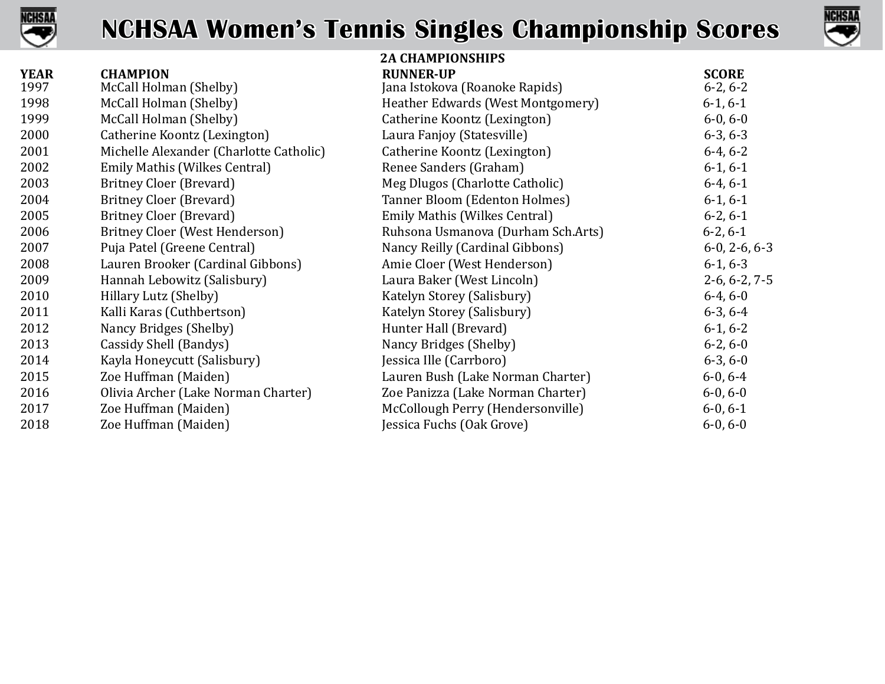



|             |                                         | <b>2A CHAMPIONSHIPS</b>            |                       |
|-------------|-----------------------------------------|------------------------------------|-----------------------|
| <b>YEAR</b> | <b>CHAMPION</b>                         | <b>RUNNER-UP</b>                   | <b>SCORE</b>          |
| 1997        | McCall Holman (Shelby)                  | Jana Istokova (Roanoke Rapids)     | $6-2, 6-2$            |
| 1998        | McCall Holman (Shelby)                  | Heather Edwards (West Montgomery)  | $6-1, 6-1$            |
| 1999        | McCall Holman (Shelby)                  | Catherine Koontz (Lexington)       | $6-0, 6-0$            |
| 2000        | Catherine Koontz (Lexington)            | Laura Fanjoy (Statesville)         | $6-3, 6-3$            |
| 2001        | Michelle Alexander (Charlotte Catholic) | Catherine Koontz (Lexington)       | $6-4, 6-2$            |
| 2002        | Emily Mathis (Wilkes Central)           | Renee Sanders (Graham)             | $6-1, 6-1$            |
| 2003        | Britney Cloer (Brevard)                 | Meg Dlugos (Charlotte Catholic)    | $6-4, 6-1$            |
| 2004        | Britney Cloer (Brevard)                 | Tanner Bloom (Edenton Holmes)      | $6-1, 6-1$            |
| 2005        | Britney Cloer (Brevard)                 | Emily Mathis (Wilkes Central)      | $6-2, 6-1$            |
| 2006        | Britney Cloer (West Henderson)          | Ruhsona Usmanova (Durham Sch.Arts) | $6-2, 6-1$            |
| 2007        | Puja Patel (Greene Central)             | Nancy Reilly (Cardinal Gibbons)    | $6-0$ , $2-6$ , $6-3$ |
| 2008        | Lauren Brooker (Cardinal Gibbons)       | Amie Cloer (West Henderson)        | $6-1, 6-3$            |
| 2009        | Hannah Lebowitz (Salisbury)             | Laura Baker (West Lincoln)         | $2-6, 6-2, 7-5$       |
| 2010        | Hillary Lutz (Shelby)                   | Katelyn Storey (Salisbury)         | $6-4, 6-0$            |
| 2011        | Kalli Karas (Cuthbertson)               | Katelyn Storey (Salisbury)         | $6-3, 6-4$            |
| 2012        | Nancy Bridges (Shelby)                  | Hunter Hall (Brevard)              | $6-1, 6-2$            |
| 2013        | Cassidy Shell (Bandys)                  | Nancy Bridges (Shelby)             | $6-2, 6-0$            |
| 2014        | Kayla Honeycutt (Salisbury)             | Jessica Ille (Carrboro)            | $6-3, 6-0$            |
| 2015        | Zoe Huffman (Maiden)                    | Lauren Bush (Lake Norman Charter)  | $6-0, 6-4$            |
| 2016        | Olivia Archer (Lake Norman Charter)     | Zoe Panizza (Lake Norman Charter)  | $6-0, 6-0$            |
| 2017        | Zoe Huffman (Maiden)                    | McCollough Perry (Hendersonville)  | $6-0, 6-1$            |
| 2018        | Zoe Huffman (Maiden)                    | Jessica Fuchs (Oak Grove)          | $6-0, 6-0$            |
|             |                                         |                                    |                       |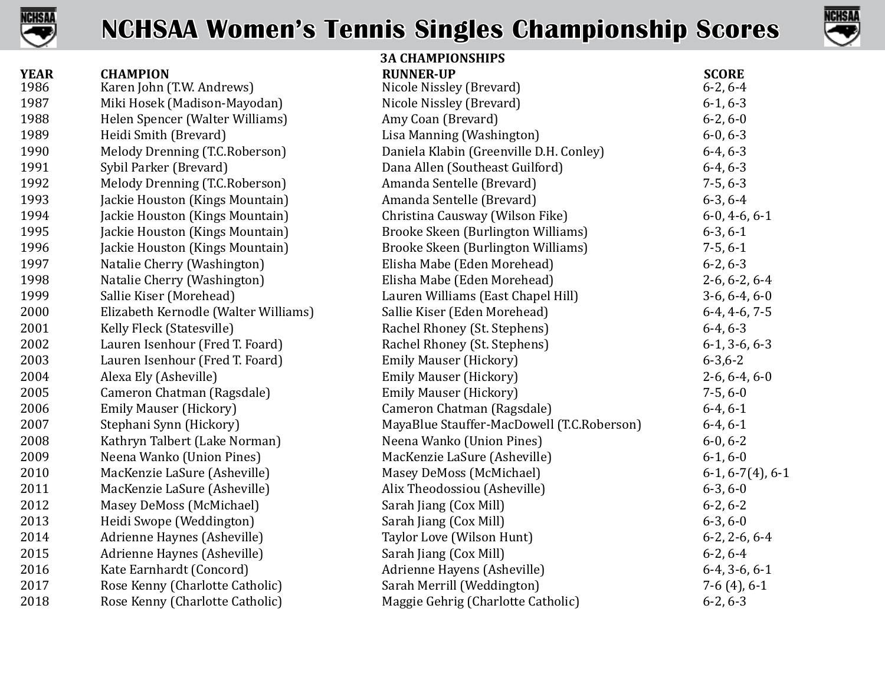



|                     |                                              | <b>3A CHAMPIONSHIPS</b>                      |                            |
|---------------------|----------------------------------------------|----------------------------------------------|----------------------------|
| <b>YEAR</b><br>1986 | <b>CHAMPION</b><br>Karen John (T.W. Andrews) | <b>RUNNER-UP</b><br>Nicole Nissley (Brevard) | <b>SCORE</b><br>$6-2, 6-4$ |
| 1987                | Miki Hosek (Madison-Mayodan)                 | Nicole Nissley (Brevard)                     | $6-1, 6-3$                 |
| 1988                | Helen Spencer (Walter Williams)              | Amy Coan (Brevard)                           | $6-2, 6-0$                 |
| 1989                | Heidi Smith (Brevard)                        | Lisa Manning (Washington)                    | $6-0, 6-3$                 |
| 1990                | Melody Drenning (T.C.Roberson)               | Daniela Klabin (Greenville D.H. Conley)      | $6-4, 6-3$                 |
| 1991                | Sybil Parker (Brevard)                       | Dana Allen (Southeast Guilford)              | $6-4, 6-3$                 |
| 1992                | Melody Drenning (T.C.Roberson)               | Amanda Sentelle (Brevard)                    | $7-5, 6-3$                 |
| 1993                | Jackie Houston (Kings Mountain)              | Amanda Sentelle (Brevard)                    | $6-3, 6-4$                 |
| 1994                | Jackie Houston (Kings Mountain)              | Christina Causway (Wilson Fike)              | $6-0, 4-6, 6-1$            |
| 1995                | Jackie Houston (Kings Mountain)              | Brooke Skeen (Burlington Williams)           | $6-3, 6-1$                 |
| 1996                | Jackie Houston (Kings Mountain)              | Brooke Skeen (Burlington Williams)           | $7-5, 6-1$                 |
| 1997                | Natalie Cherry (Washington)                  | Elisha Mabe (Eden Morehead)                  | $6-2, 6-3$                 |
| 1998                | Natalie Cherry (Washington)                  | Elisha Mabe (Eden Morehead)                  | $2-6, 6-2, 6-4$            |
| 1999                | Sallie Kiser (Morehead)                      | Lauren Williams (East Chapel Hill)           | $3-6, 6-4, 6-0$            |
| 2000                | Elizabeth Kernodle (Walter Williams)         | Sallie Kiser (Eden Morehead)                 | $6-4, 4-6, 7-5$            |
| 2001                | Kelly Fleck (Statesville)                    | Rachel Rhoney (St. Stephens)                 | $6-4, 6-3$                 |
| 2002                | Lauren Isenhour (Fred T. Foard)              | Rachel Rhoney (St. Stephens)                 | $6-1, 3-6, 6-3$            |
| 2003                | Lauren Isenhour (Fred T. Foard)              | <b>Emily Mauser (Hickory)</b>                | $6 - 3, 6 - 2$             |
| 2004                | Alexa Ely (Asheville)                        | <b>Emily Mauser (Hickory)</b>                | $2-6, 6-4, 6-0$            |
| 2005                | Cameron Chatman (Ragsdale)                   | <b>Emily Mauser (Hickory)</b>                | $7-5, 6-0$                 |
| 2006                | <b>Emily Mauser (Hickory)</b>                | Cameron Chatman (Ragsdale)                   | $6-4, 6-1$                 |
| 2007                | Stephani Synn (Hickory)                      | MayaBlue Stauffer-MacDowell (T.C.Roberson)   | $6-4, 6-1$                 |
| 2008                | Kathryn Talbert (Lake Norman)                | Neena Wanko (Union Pines)                    | $6-0, 6-2$                 |
| 2009                | Neena Wanko (Union Pines)                    | MacKenzie LaSure (Asheville)                 | $6-1, 6-0$                 |
| 2010                | MacKenzie LaSure (Asheville)                 | Masey DeMoss (McMichael)                     | $6-1, 6-7(4), 6-1$         |
| 2011                | MacKenzie LaSure (Asheville)                 | Alix Theodossiou (Asheville)                 | $6-3, 6-0$                 |
| 2012                | Masey DeMoss (McMichael)                     | Sarah Jiang (Cox Mill)                       | $6-2, 6-2$                 |
| 2013                | Heidi Swope (Weddington)                     | Sarah Jiang (Cox Mill)                       | $6-3, 6-0$                 |
| 2014                | Adrienne Haynes (Asheville)                  | Taylor Love (Wilson Hunt)                    | $6-2$ , $2-6$ , $6-4$      |
| 2015                | Adrienne Haynes (Asheville)                  | Sarah Jiang (Cox Mill)                       | $6-2, 6-4$                 |
| 2016                | Kate Earnhardt (Concord)                     | Adrienne Hayens (Asheville)                  | $6-4, 3-6, 6-1$            |
| 2017                | Rose Kenny (Charlotte Catholic)              | Sarah Merrill (Weddington)                   | $7-6(4)$ , 6-1             |
| 2018                | Rose Kenny (Charlotte Catholic)              | Maggie Gehrig (Charlotte Catholic)           | $6-2, 6-3$                 |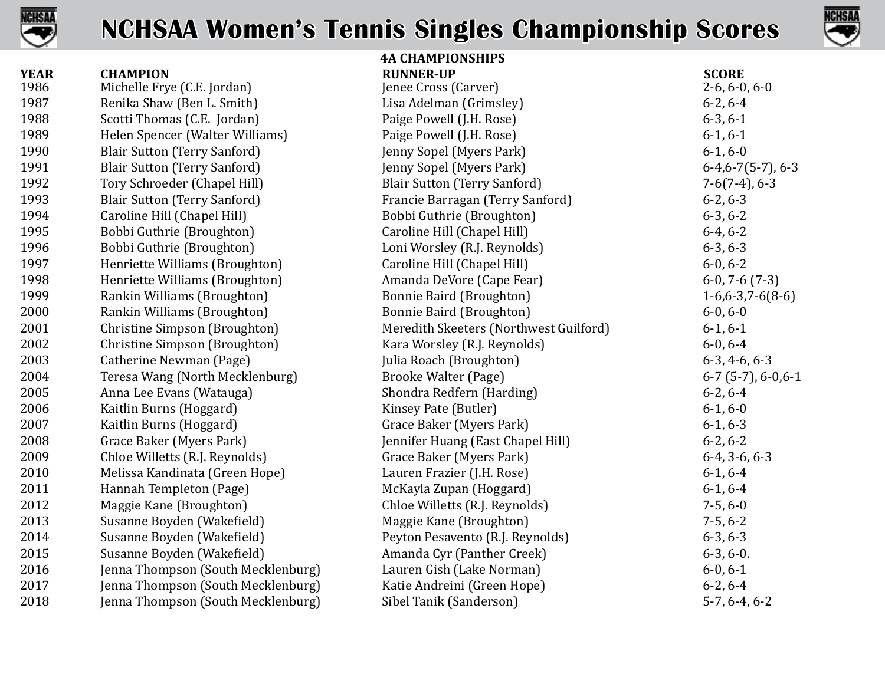



|             |                                     | <b>4A CHAMPIONSHIPS</b>                |                          |
|-------------|-------------------------------------|----------------------------------------|--------------------------|
| <b>YEAR</b> | <b>CHAMPION</b>                     | <b>RUNNER-UP</b>                       | <b>SCORE</b>             |
| 1986        | Michelle Frye (C.E. Jordan)         | Jenee Cross (Carver)                   | $2-6, 6-0, 6-0$          |
| 1987        | Renika Shaw (Ben L. Smith)          | Lisa Adelman (Grimsley)                | $6-2, 6-4$               |
| 1988        | Scotti Thomas (C.E. Jordan)         | Paige Powell (J.H. Rose)               | $6-3, 6-1$               |
| 1989        | Helen Spencer (Walter Williams)     | Paige Powell (J.H. Rose)               | $6-1, 6-1$               |
| 1990        | <b>Blair Sutton (Terry Sanford)</b> | Jenny Sopel (Myers Park)               | $6-1, 6-0$               |
| 1991        | <b>Blair Sutton (Terry Sanford)</b> | Jenny Sopel (Myers Park)               | $6-4, 6-7(5-7), 6-3$     |
| 1992        | Tory Schroeder (Chapel Hill)        | <b>Blair Sutton (Terry Sanford)</b>    | $7-6(7-4)$ , 6-3         |
| 1993        | <b>Blair Sutton (Terry Sanford)</b> | Francie Barragan (Terry Sanford)       | $6-2, 6-3$               |
| 1994        | Caroline Hill (Chapel Hill)         | Bobbi Guthrie (Broughton)              | $6-3, 6-2$               |
| 1995        | Bobbi Guthrie (Broughton)           | Caroline Hill (Chapel Hill)            | $6-4, 6-2$               |
| 1996        | Bobbi Guthrie (Broughton)           | Loni Worsley (R.J. Reynolds)           | $6-3, 6-3$               |
| 1997        | Henriette Williams (Broughton)      | Caroline Hill (Chapel Hill)            | $6-0, 6-2$               |
| 1998        | Henriette Williams (Broughton)      | Amanda DeVore (Cape Fear)              | $6-0$ , 7 $-6$ (7 $-3$ ) |
| 1999        | Rankin Williams (Broughton)         | <b>Bonnie Baird (Broughton)</b>        | $1-6, 6-3, 7-6(8-6)$     |
| 2000        | Rankin Williams (Broughton)         | <b>Bonnie Baird (Broughton)</b>        | $6-0, 6-0$               |
| 2001        | Christine Simpson (Broughton)       | Meredith Skeeters (Northwest Guilford) | $6-1, 6-1$               |
| 2002        | Christine Simpson (Broughton)       | Kara Worsley (R.J. Reynolds)           | $6-0, 6-4$               |
| 2003        | Catherine Newman (Page)             | Julia Roach (Broughton)                | $6-3, 4-6, 6-3$          |
| 2004        | Teresa Wang (North Mecklenburg)     | <b>Brooke Walter (Page)</b>            | $6-7$ (5-7), $6-0,6-1$   |
| 2005        | Anna Lee Evans (Watauga)            | Shondra Redfern (Harding)              | $6-2, 6-4$               |
| 2006        | Kaitlin Burns (Hoggard)             | Kinsey Pate (Butler)                   | $6-1, 6-0$               |
| 2007        | Kaitlin Burns (Hoggard)             | Grace Baker (Myers Park)               | $6-1, 6-3$               |
| 2008        | Grace Baker (Myers Park)            | Jennifer Huang (East Chapel Hill)      | $6-2, 6-2$               |
| 2009        | Chloe Willetts (R.J. Reynolds)      | Grace Baker (Myers Park)               | $6-4, 3-6, 6-3$          |
| 2010        | Melissa Kandinata (Green Hope)      | Lauren Frazier (J.H. Rose)             | $6-1, 6-4$               |
| 2011        | Hannah Templeton (Page)             | McKayla Zupan (Hoggard)                | $6-1, 6-4$               |
| 2012        | Maggie Kane (Broughton)             | Chloe Willetts (R.J. Reynolds)         | $7-5, 6-0$               |
| 2013        | Susanne Boyden (Wakefield)          | Maggie Kane (Broughton)                | $7-5, 6-2$               |
| 2014        | Susanne Boyden (Wakefield)          | Peyton Pesavento (R.J. Reynolds)       | $6-3, 6-3$               |
| 2015        | Susanne Boyden (Wakefield)          | Amanda Cyr (Panther Creek)             | $6-3, 6-0.$              |
| 2016        | Jenna Thompson (South Mecklenburg)  | Lauren Gish (Lake Norman)              | $6-0, 6-1$               |
| 2017        | Jenna Thompson (South Mecklenburg)  | Katie Andreini (Green Hope)            | $6-2, 6-4$               |
| 2018        | Jenna Thompson (South Mecklenburg)  | Sibel Tanik (Sanderson)                | 5-7, 6-4, 6-2            |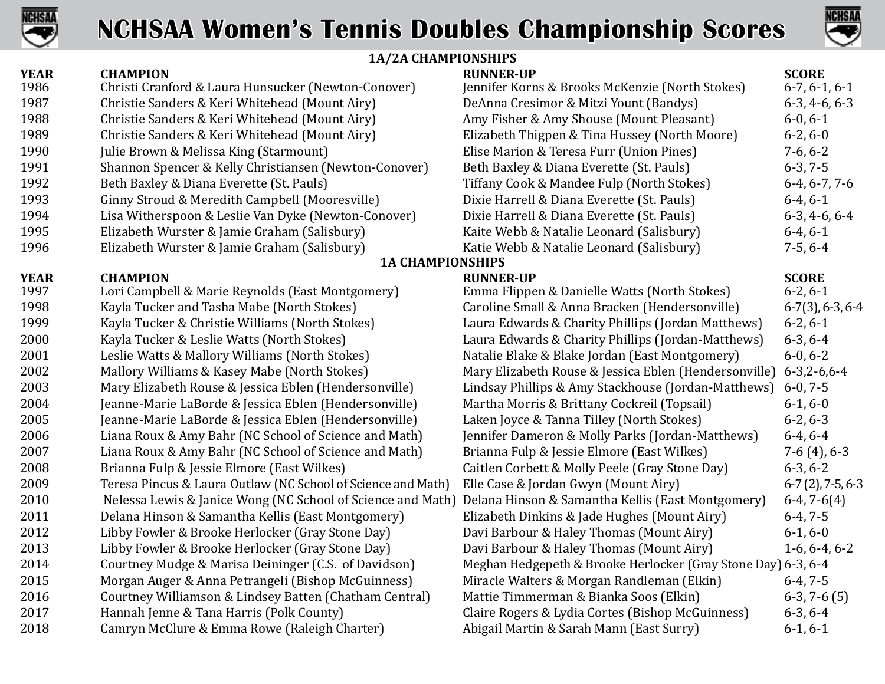



### **1A/2A CHAMPIONSHIPS**

|             | 1A/2A CHAMPIONSHIPS                                          |                                                               |                       |
|-------------|--------------------------------------------------------------|---------------------------------------------------------------|-----------------------|
| <b>YEAR</b> | <b>CHAMPION</b>                                              | <b>RUNNER-UP</b>                                              | <b>SCORE</b>          |
| 1986        | Christi Cranford & Laura Hunsucker (Newton-Conover)          | Jennifer Korns & Brooks McKenzie (North Stokes)               | $6-7, 6-1, 6-1$       |
| 1987        | Christie Sanders & Keri Whitehead (Mount Airy)               | DeAnna Cresimor & Mitzi Yount (Bandys)                        | $6-3, 4-6, 6-3$       |
| 1988        | Christie Sanders & Keri Whitehead (Mount Airy)               | Amy Fisher & Amy Shouse (Mount Pleasant)                      | $6-0, 6-1$            |
| 1989        | Christie Sanders & Keri Whitehead (Mount Airy)               | Elizabeth Thigpen & Tina Hussey (North Moore)                 | $6-2, 6-0$            |
| 1990        | Julie Brown & Melissa King (Starmount)                       | Elise Marion & Teresa Furr (Union Pines)                      | $7-6, 6-2$            |
| 1991        | Shannon Spencer & Kelly Christiansen (Newton-Conover)        | Beth Baxley & Diana Everette (St. Pauls)                      | $6-3, 7-5$            |
| 1992        | Beth Baxley & Diana Everette (St. Pauls)                     | Tiffany Cook & Mandee Fulp (North Stokes)                     | $6-4, 6-7, 7-6$       |
| 1993        | Ginny Stroud & Meredith Campbell (Mooresville)               | Dixie Harrell & Diana Everette (St. Pauls)                    | $6-4, 6-1$            |
| 1994        | Lisa Witherspoon & Leslie Van Dyke (Newton-Conover)          | Dixie Harrell & Diana Everette (St. Pauls)                    | $6-3, 4-6, 6-4$       |
| 1995        | Elizabeth Wurster & Jamie Graham (Salisbury)                 | Kaite Webb & Natalie Leonard (Salisbury)                      | $6-4, 6-1$            |
| 1996        | Elizabeth Wurster & Jamie Graham (Salisbury)                 | Katie Webb & Natalie Leonard (Salisbury)                      | $7-5, 6-4$            |
|             | <b>1A CHAMPIONSHIPS</b>                                      |                                                               |                       |
| <b>YEAR</b> | <b>CHAMPION</b>                                              | <b>RUNNER-UP</b>                                              | <b>SCORE</b>          |
| 1997        | Lori Campbell & Marie Reynolds (East Montgomery)             | Emma Flippen & Danielle Watts (North Stokes)                  | $6-2, 6-1$            |
| 1998        | Kayla Tucker and Tasha Mabe (North Stokes)                   | Caroline Small & Anna Bracken (Hendersonville)                | $6-7(3)$ , 6-3, 6-4   |
| 1999        | Kayla Tucker & Christie Williams (North Stokes)              | Laura Edwards & Charity Phillips (Jordan Matthews)            | $6-2, 6-1$            |
| 2000        | Kayla Tucker & Leslie Watts (North Stokes)                   | Laura Edwards & Charity Phillips (Jordan-Matthews)            | $6-3, 6-4$            |
| 2001        | Leslie Watts & Mallory Williams (North Stokes)               | Natalie Blake & Blake Jordan (East Montgomery)                | $6-0, 6-2$            |
| 2002        | Mallory Williams & Kasey Mabe (North Stokes)                 | Mary Elizabeth Rouse & Jessica Eblen (Hendersonville)         | $6 - 3, 2 - 6, 6 - 4$ |
| 2003        | Mary Elizabeth Rouse & Jessica Eblen (Hendersonville)        | Lindsay Phillips & Amy Stackhouse (Jordan-Matthews)           | $6-0, 7-5$            |
| 2004        | Jeanne-Marie LaBorde & Jessica Eblen (Hendersonville)        | Martha Morris & Brittany Cockreil (Topsail)                   | $6-1, 6-0$            |
| 2005        | Jeanne-Marie LaBorde & Jessica Eblen (Hendersonville)        | Laken Joyce & Tanna Tilley (North Stokes)                     | $6-2, 6-3$            |
| 2006        | Liana Roux & Amy Bahr (NC School of Science and Math)        | Jennifer Dameron & Molly Parks (Jordan-Matthews)              | $6-4, 6-4$            |
| 2007        | Liana Roux & Amy Bahr (NC School of Science and Math)        | Brianna Fulp & Jessie Elmore (East Wilkes)                    | $7-6(4)$ , 6-3        |
| 2008        | Brianna Fulp & Jessie Elmore (East Wilkes)                   | Caitlen Corbett & Molly Peele (Gray Stone Day)                | $6-3, 6-2$            |
| 2009        | Teresa Pincus & Laura Outlaw (NC School of Science and Math) | Elle Case & Jordan Gwyn (Mount Airy)                          | $6-7(2)$ , 7-5, 6-3   |
| 2010        | Nelessa Lewis & Janice Wong (NC School of Science and Math)  | Delana Hinson & Samantha Kellis (East Montgomery)             | $6-4, 7-6(4)$         |
| 2011        | Delana Hinson & Samantha Kellis (East Montgomery)            | Elizabeth Dinkins & Jade Hughes (Mount Airy)                  | $6-4, 7-5$            |
| 2012        | Libby Fowler & Brooke Herlocker (Gray Stone Day)             | Davi Barbour & Haley Thomas (Mount Airy)                      | $6-1, 6-0$            |
| 2013        | Libby Fowler & Brooke Herlocker (Gray Stone Day)             | Davi Barbour & Haley Thomas (Mount Airy)                      | $1-6, 6-4, 6-2$       |
| 2014        | Courtney Mudge & Marisa Deininger (C.S. of Davidson)         | Meghan Hedgepeth & Brooke Herlocker (Gray Stone Day) 6-3, 6-4 |                       |
| 2015        | Morgan Auger & Anna Petrangeli (Bishop McGuinness)           | Miracle Walters & Morgan Randleman (Elkin)                    | $6-4, 7-5$            |
| 2016        | Courtney Williamson & Lindsey Batten (Chatham Central)       | Mattie Timmerman & Bianka Soos (Elkin)                        | $6-3, 7-6(5)$         |
| 2017        | Hannah Jenne & Tana Harris (Polk County)                     | Claire Rogers & Lydia Cortes (Bishop McGuinness)              | $6-3, 6-4$            |
| 2018        | Camryn McClure & Emma Rowe (Raleigh Charter)                 | Abigail Martin & Sarah Mann (East Surry)                      | $6-1, 6-1$            |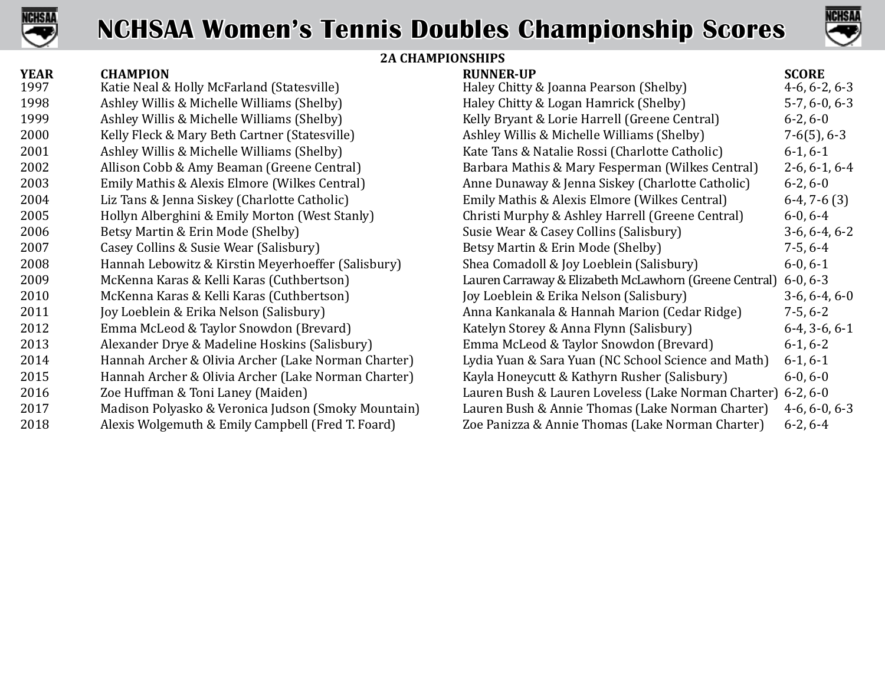



### **2A CHAMPIONSHIPS**

| <b>YEAR</b> | <b>CHAMPION</b>                                     | <b>RUNNER-UP</b>                                       | <b>SCORE</b>    |
|-------------|-----------------------------------------------------|--------------------------------------------------------|-----------------|
| 1997        | Katie Neal & Holly McFarland (Statesville)          | Haley Chitty & Joanna Pearson (Shelby)                 | $4-6, 6-2, 6-3$ |
| 1998        | Ashley Willis & Michelle Williams (Shelby)          | Haley Chitty & Logan Hamrick (Shelby)                  | $5-7, 6-0, 6-3$ |
| 1999        | Ashley Willis & Michelle Williams (Shelby)          | Kelly Bryant & Lorie Harrell (Greene Central)          | $6-2, 6-0$      |
| 2000        | Kelly Fleck & Mary Beth Cartner (Statesville)       | Ashley Willis & Michelle Williams (Shelby)             | $7-6(5)$ , 6-3  |
| 2001        | Ashley Willis & Michelle Williams (Shelby)          | Kate Tans & Natalie Rossi (Charlotte Catholic)         | $6-1, 6-1$      |
| 2002        | Allison Cobb & Amy Beaman (Greene Central)          | Barbara Mathis & Mary Fesperman (Wilkes Central)       | $2-6, 6-1, 6-4$ |
| 2003        | Emily Mathis & Alexis Elmore (Wilkes Central)       | Anne Dunaway & Jenna Siskey (Charlotte Catholic)       | $6-2, 6-0$      |
| 2004        | Liz Tans & Jenna Siskey (Charlotte Catholic)        | Emily Mathis & Alexis Elmore (Wilkes Central)          | $6-4, 7-6(3)$   |
| 2005        | Hollyn Alberghini & Emily Morton (West Stanly)      | Christi Murphy & Ashley Harrell (Greene Central)       | $6-0, 6-4$      |
| 2006        | Betsy Martin & Erin Mode (Shelby)                   | Susie Wear & Casey Collins (Salisbury)                 | $3-6, 6-4, 6-2$ |
| 2007        | Casey Collins & Susie Wear (Salisbury)              | Betsy Martin & Erin Mode (Shelby)                      | $7-5, 6-4$      |
| 2008        | Hannah Lebowitz & Kirstin Meyerhoeffer (Salisbury)  | Shea Comadoll & Joy Loeblein (Salisbury)               | $6-0, 6-1$      |
| 2009        | McKenna Karas & Kelli Karas (Cuthbertson)           | Lauren Carraway & Elizabeth McLawhorn (Greene Central) | $6-0, 6-3$      |
| 2010        | McKenna Karas & Kelli Karas (Cuthbertson)           | Joy Loeblein & Erika Nelson (Salisbury)                | $3-6, 6-4, 6-0$ |
| 2011        | Joy Loeblein & Erika Nelson (Salisbury)             | Anna Kankanala & Hannah Marion (Cedar Ridge)           | $7-5, 6-2$      |
| 2012        | Emma McLeod & Taylor Snowdon (Brevard)              | Katelyn Storey & Anna Flynn (Salisbury)                | $6-4, 3-6, 6-1$ |
| 2013        | Alexander Drye & Madeline Hoskins (Salisbury)       | Emma McLeod & Taylor Snowdon (Brevard)                 | $6-1, 6-2$      |
| 2014        | Hannah Archer & Olivia Archer (Lake Norman Charter) | Lydia Yuan & Sara Yuan (NC School Science and Math)    | $6-1, 6-1$      |
| 2015        | Hannah Archer & Olivia Archer (Lake Norman Charter) | Kayla Honeycutt & Kathyrn Rusher (Salisbury)           | $6-0, 6-0$      |
| 2016        | Zoe Huffman & Toni Laney (Maiden)                   | Lauren Bush & Lauren Loveless (Lake Norman Charter)    | $6-2, 6-0$      |
| 2017        | Madison Polyasko & Veronica Judson (Smoky Mountain) | Lauren Bush & Annie Thomas (Lake Norman Charter)       | $4-6, 6-0, 6-3$ |
| 2018        | Alexis Wolgemuth & Emily Campbell (Fred T. Foard)   | Zoe Panizza & Annie Thomas (Lake Norman Charter)       | $6-2, 6-4$      |
|             |                                                     |                                                        |                 |

| KUNNEK-UI                                              | JUVINI          |
|--------------------------------------------------------|-----------------|
| Haley Chitty & Joanna Pearson (Shelby)                 | $4-6, 6-2, 6-3$ |
| Haley Chitty & Logan Hamrick (Shelby)                  | $5-7, 6-0, 6-3$ |
| Kelly Bryant & Lorie Harrell (Greene Central)          | $6-2, 6-0$      |
| Ashley Willis & Michelle Williams (Shelby)             | $7-6(5)$ , 6-3  |
| Kate Tans & Natalie Rossi (Charlotte Catholic)         | $6-1, 6-1$      |
| Barbara Mathis & Mary Fesperman (Wilkes Central)       | $2-6, 6-1, 6-4$ |
| Anne Dunaway & Jenna Siskey (Charlotte Catholic)       | $6-2, 6-0$      |
| Emily Mathis & Alexis Elmore (Wilkes Central)          | $6-4, 7-6(3)$   |
| Christi Murphy & Ashley Harrell (Greene Central)       | $6-0, 6-4$      |
| Susie Wear & Casey Collins (Salisbury)                 | $3-6, 6-4, 6-2$ |
| Betsy Martin & Erin Mode (Shelby)                      | $7-5, 6-4$      |
| Shea Comadoll & Joy Loeblein (Salisbury)               | $6-0, 6-1$      |
| Lauren Carraway & Elizabeth McLawhorn (Greene Central) | $6-0, 6-3$      |
| Joy Loeblein & Erika Nelson (Salisbury)                | $3-6, 6-4, 6-0$ |
| Anna Kankanala & Hannah Marion (Cedar Ridge)           | $7-5, 6-2$      |
| Katelyn Storey & Anna Flynn (Salisbury)                | $6-4, 3-6, 6-1$ |
| Emma McLeod & Taylor Snowdon (Brevard)                 | $6-1, 6-2$      |
| Lydia Yuan & Sara Yuan (NC School Science and Math)    | $6-1, 6-1$      |
| Kayla Honeycutt & Kathyrn Rusher (Salisbury)           | $6-0, 6-0$      |
| Lauren Bush & Lauren Loveless (Lake Norman Charter)    | $6-2, 6-0$      |
| Lauren Bush & Annie Thomas (Lake Norman Charter)       | $4-6, 6-0, 6-3$ |
| Zoe Panizza & Annie Thomas (Lake Norman Charter)       | $6-2, 6-4$      |
|                                                        |                 |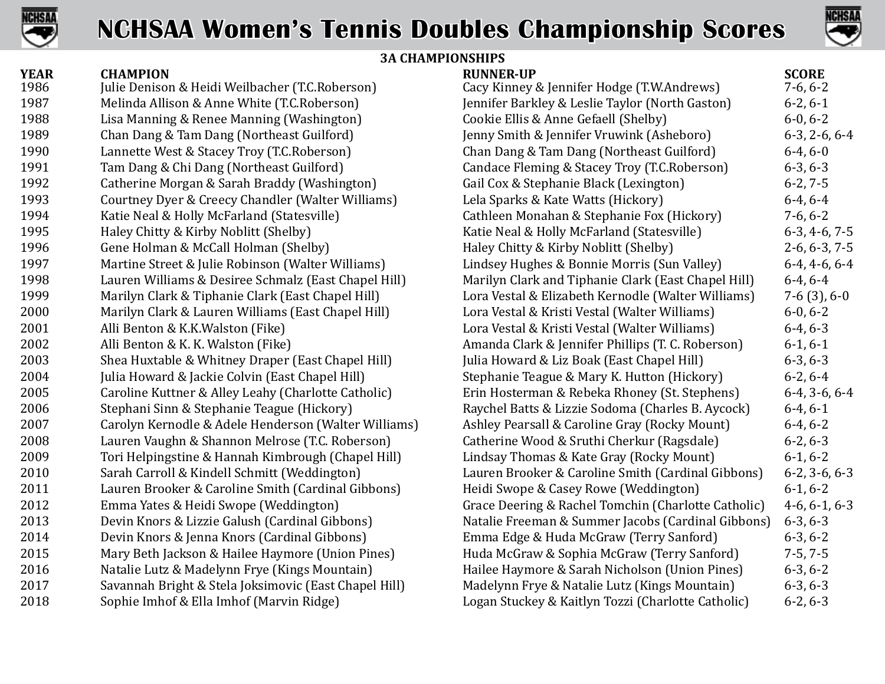



### **3A CHAMPIONSHIPS**

| <b>YEAR</b> | <b>CHAMPION</b>                                       | <b>RUNNER-UP</b>                                    | <b>SCORE</b>          |
|-------------|-------------------------------------------------------|-----------------------------------------------------|-----------------------|
| 1986        | Julie Denison & Heidi Weilbacher (T.C.Roberson)       | Cacy Kinney & Jennifer Hodge (T.W.Andrews)          | $7-6, 6-2$            |
| 1987        | Melinda Allison & Anne White (T.C.Roberson)           | Jennifer Barkley & Leslie Taylor (North Gaston)     | $6-2, 6-1$            |
| 1988        | Lisa Manning & Renee Manning (Washington)             | Cookie Ellis & Anne Gefaell (Shelby)                | $6-0, 6-2$            |
| 1989        | Chan Dang & Tam Dang (Northeast Guilford)             | Jenny Smith & Jennifer Vruwink (Asheboro)           | $6-3, 2-6, 6-4$       |
| 1990        | Lannette West & Stacey Troy (T.C.Roberson)            | Chan Dang & Tam Dang (Northeast Guilford)           | $6-4, 6-0$            |
| 1991        | Tam Dang & Chi Dang (Northeast Guilford)              | Candace Fleming & Stacey Troy (T.C.Roberson)        | $6-3, 6-3$            |
| 1992        | Catherine Morgan & Sarah Braddy (Washington)          | Gail Cox & Stephanie Black (Lexington)              | $6-2, 7-5$            |
| 1993        | Courtney Dyer & Creecy Chandler (Walter Williams)     | Lela Sparks & Kate Watts (Hickory)                  | $6-4, 6-4$            |
| 1994        | Katie Neal & Holly McFarland (Statesville)            | Cathleen Monahan & Stephanie Fox (Hickory)          | $7-6, 6-2$            |
| 1995        | Haley Chitty & Kirby Noblitt (Shelby)                 | Katie Neal & Holly McFarland (Statesville)          | $6-3, 4-6, 7-5$       |
| 1996        | Gene Holman & McCall Holman (Shelby)                  | Haley Chitty & Kirby Noblitt (Shelby)               | $2-6, 6-3, 7-5$       |
| 1997        | Martine Street & Julie Robinson (Walter Williams)     | Lindsey Hughes & Bonnie Morris (Sun Valley)         | $6-4, 4-6, 6-4$       |
| 1998        | Lauren Williams & Desiree Schmalz (East Chapel Hill)  | Marilyn Clark and Tiphanie Clark (East Chapel Hill) | $6-4, 6-4$            |
| 1999        | Marilyn Clark & Tiphanie Clark (East Chapel Hill)     | Lora Vestal & Elizabeth Kernodle (Walter Williams)  | $7-6(3), 6-0$         |
| 2000        | Marilyn Clark & Lauren Williams (East Chapel Hill)    | Lora Vestal & Kristi Vestal (Walter Williams)       | $6-0, 6-2$            |
| 2001        | Alli Benton & K.K. Walston (Fike)                     | Lora Vestal & Kristi Vestal (Walter Williams)       | $6-4, 6-3$            |
| 2002        | Alli Benton & K. K. Walston (Fike)                    | Amanda Clark & Jennifer Phillips (T. C. Roberson)   | $6-1, 6-1$            |
| 2003        | Shea Huxtable & Whitney Draper (East Chapel Hill)     | Julia Howard & Liz Boak (East Chapel Hill)          | $6-3, 6-3$            |
| 2004        | Julia Howard & Jackie Colvin (East Chapel Hill)       | Stephanie Teague & Mary K. Hutton (Hickory)         | $6-2, 6-4$            |
| 2005        | Caroline Kuttner & Alley Leahy (Charlotte Catholic)   | Erin Hosterman & Rebeka Rhoney (St. Stephens)       | $6-4, 3-6, 6-4$       |
| 2006        | Stephani Sinn & Stephanie Teague (Hickory)            | Raychel Batts & Lizzie Sodoma (Charles B. Aycock)   | $6-4, 6-1$            |
| 2007        | Carolyn Kernodle & Adele Henderson (Walter Williams)  | Ashley Pearsall & Caroline Gray (Rocky Mount)       | $6-4, 6-2$            |
| 2008        | Lauren Vaughn & Shannon Melrose (T.C. Roberson)       | Catherine Wood & Sruthi Cherkur (Ragsdale)          | $6-2, 6-3$            |
| 2009        | Tori Helpingstine & Hannah Kimbrough (Chapel Hill)    | Lindsay Thomas & Kate Gray (Rocky Mount)            | $6-1, 6-2$            |
| 2010        | Sarah Carroll & Kindell Schmitt (Weddington)          | Lauren Brooker & Caroline Smith (Cardinal Gibbons)  | $6-2$ , $3-6$ , $6-3$ |
| 2011        | Lauren Brooker & Caroline Smith (Cardinal Gibbons)    | Heidi Swope & Casey Rowe (Weddington)               | $6-1, 6-2$            |
| 2012        | Emma Yates & Heidi Swope (Weddington)                 | Grace Deering & Rachel Tomchin (Charlotte Catholic) | $4-6, 6-1, 6-3$       |
| 2013        | Devin Knors & Lizzie Galush (Cardinal Gibbons)        | Natalie Freeman & Summer Jacobs (Cardinal Gibbons)  | $6-3, 6-3$            |
| 2014        | Devin Knors & Jenna Knors (Cardinal Gibbons)          | Emma Edge & Huda McGraw (Terry Sanford)             | $6-3, 6-2$            |
| 2015        | Mary Beth Jackson & Hailee Haymore (Union Pines)      | Huda McGraw & Sophia McGraw (Terry Sanford)         | $7-5, 7-5$            |
| 2016        | Natalie Lutz & Madelynn Frye (Kings Mountain)         | Hailee Haymore & Sarah Nicholson (Union Pines)      | $6-3, 6-2$            |
| 2017        | Savannah Bright & Stela Joksimovic (East Chapel Hill) | Madelynn Frye & Natalie Lutz (Kings Mountain)       | $6-3, 6-3$            |
| 2018        | Sophie Imhof & Ella Imhof (Marvin Ridge)              | Logan Stuckey & Kaitlyn Tozzi (Charlotte Catholic)  | $6-2, 6-3$            |
|             |                                                       |                                                     |                       |

| KUNNEK-UP                                           | JLUKE           |
|-----------------------------------------------------|-----------------|
| Cacy Kinney & Jennifer Hodge (T.W.Andrews)          | $7-6, 6-2$      |
| ennifer Barkley & Leslie Taylor (North Gaston)      | $6-2, 6-1$      |
| Cookie Ellis & Anne Gefaell (Shelby)                | $6-0, 6-2$      |
| enny Smith & Jennifer Vruwink (Asheboro)            | $6-3, 2-6, 6-4$ |
| Chan Dang & Tam Dang (Northeast Guilford)           | $6-4, 6-0$      |
| Candace Fleming & Stacey Troy (T.C.Roberson)        | $6-3, 6-3$      |
| Gail Cox & Stephanie Black (Lexington)              | $6-2, 7-5$      |
| Lela Sparks & Kate Watts (Hickory)                  | $6-4, 6-4$      |
| Cathleen Monahan & Stephanie Fox (Hickory)          | $7-6, 6-2$      |
| Katie Neal & Holly McFarland (Statesville)          | $6-3, 4-6, 7-5$ |
| Haley Chitty & Kirby Noblitt (Shelby)               | $2-6, 6-3, 7-5$ |
| Lindsey Hughes & Bonnie Morris (Sun Valley)         | $6-4, 4-6, 6-4$ |
| Marilyn Clark and Tiphanie Clark (East Chapel Hill) | $6-4, 6-4$      |
| Lora Vestal & Elizabeth Kernodle (Walter Williams)  | $7-6(3), 6-0$   |
| Lora Vestal & Kristi Vestal (Walter Williams)       | $6-0, 6-2$      |
| Lora Vestal & Kristi Vestal (Walter Williams)       | $6-4, 6-3$      |
| Amanda Clark & Jennifer Phillips (T. C. Roberson)   | $6-1, 6-1$      |
| ulia Howard & Liz Boak (East Chapel Hill)           | $6-3, 6-3$      |
| Stephanie Teague & Mary K. Hutton (Hickory)         | $6-2, 6-4$      |
| Erin Hosterman & Rebeka Rhoney (St. Stephens)       | $6-4, 3-6, 6-4$ |
| Raychel Batts & Lizzie Sodoma (Charles B. Aycock)   | $6-4, 6-1$      |
| Ashley Pearsall & Caroline Gray (Rocky Mount)       | $6-4, 6-2$      |
| Catherine Wood & Sruthi Cherkur (Ragsdale)          | $6-2, 6-3$      |
| Lindsay Thomas & Kate Gray (Rocky Mount)            | $6-1, 6-2$      |
| Lauren Brooker & Caroline Smith (Cardinal Gibbons)  | $6-2, 3-6, 6-3$ |
| Heidi Swope & Casey Rowe (Weddington)               | $6-1, 6-2$      |
| Grace Deering & Rachel Tomchin (Charlotte Catholic) | $4-6, 6-1, 6-3$ |
| Natalie Freeman & Summer Jacobs (Cardinal Gibbons)  | $6-3, 6-3$      |
| Emma Edge & Huda McGraw (Terry Sanford)             | $6-3, 6-2$      |
| Huda McGraw & Sophia McGraw (Terry Sanford)         | $7-5, 7-5$      |
| Hailee Haymore & Sarah Nicholson (Union Pines)      | $6-3, 6-2$      |
| Madelynn Frye & Natalie Lutz (Kings Mountain)       | $6-3, 6-3$      |
| Logan Stuckey & Kaitlyn Tozzi (Charlotte Catholic)  | $6-2, 6-3$      |
|                                                     |                 |